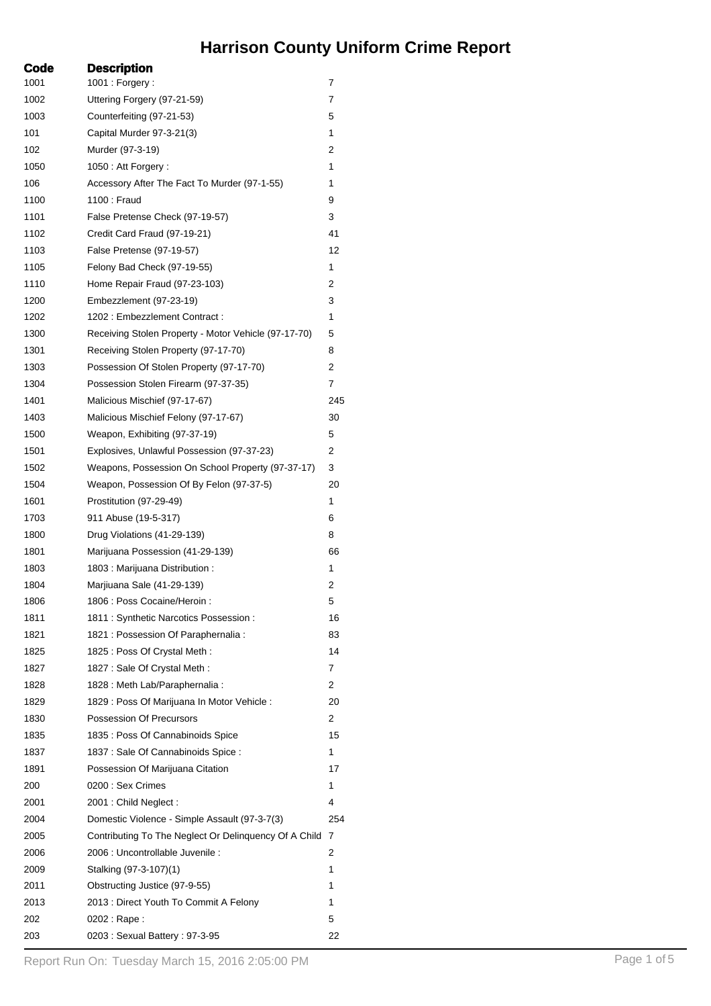## **Harrison County Uniform Crime Report**

| Code | <b>Description</b>                                    |     |
|------|-------------------------------------------------------|-----|
| 1001 | 1001 : Forgery :                                      | 7   |
| 1002 | Uttering Forgery (97-21-59)                           | 7   |
| 1003 | Counterfeiting (97-21-53)                             | 5   |
| 101  | Capital Murder 97-3-21(3)                             | 1   |
| 102  | Murder (97-3-19)                                      | 2   |
| 1050 | 1050 : Att Forgery :                                  | 1   |
| 106  | Accessory After The Fact To Murder (97-1-55)          | 1   |
| 1100 | 1100 : Fraud                                          | 9   |
| 1101 | False Pretense Check (97-19-57)                       | 3   |
| 1102 | Credit Card Fraud (97-19-21)                          | 41  |
| 1103 | False Pretense (97-19-57)                             | 12  |
| 1105 | Felony Bad Check (97-19-55)                           | 1   |
| 1110 | Home Repair Fraud (97-23-103)                         | 2   |
| 1200 | Embezzlement (97-23-19)                               | 3   |
| 1202 | 1202: Embezzlement Contract:                          | 1   |
| 1300 | Receiving Stolen Property - Motor Vehicle (97-17-70)  | 5   |
| 1301 | Receiving Stolen Property (97-17-70)                  | 8   |
| 1303 | Possession Of Stolen Property (97-17-70)              | 2   |
| 1304 | Possession Stolen Firearm (97-37-35)                  | 7   |
| 1401 | Malicious Mischief (97-17-67)                         | 245 |
| 1403 | Malicious Mischief Felony (97-17-67)                  | 30  |
| 1500 | Weapon, Exhibiting (97-37-19)                         | 5   |
| 1501 | Explosives, Unlawful Possession (97-37-23)            | 2   |
| 1502 | Weapons, Possession On School Property (97-37-17)     | 3   |
| 1504 | Weapon, Possession Of By Felon (97-37-5)              | 20  |
| 1601 | Prostitution (97-29-49)                               | 1   |
| 1703 | 911 Abuse (19-5-317)                                  | 6   |
| 1800 | Drug Violations (41-29-139)                           | 8   |
| 1801 | Marijuana Possession (41-29-139)                      | 66  |
| 1803 | 1803 : Marijuana Distribution :                       | 1   |
| 1804 | Marjiuana Sale (41-29-139)                            | 2   |
| 1806 | 1806 : Poss Cocaine/Heroin :                          | 5   |
| 1811 | 1811 : Synthetic Narcotics Possession :               | 16  |
| 1821 | 1821 : Possession Of Paraphernalia :                  | 83  |
| 1825 | 1825 : Poss Of Crystal Meth :                         | 14  |
| 1827 | 1827 : Sale Of Crystal Meth :                         | 7   |
| 1828 | 1828 : Meth Lab/Paraphernalia :                       | 2   |
| 1829 | 1829 : Poss Of Marijuana In Motor Vehicle :           | 20  |
| 1830 | Possession Of Precursors                              | 2   |
| 1835 | 1835 : Poss Of Cannabinoids Spice                     | 15  |
| 1837 | 1837 : Sale Of Cannabinoids Spice :                   | 1   |
| 1891 |                                                       | 17  |
|      | Possession Of Marijuana Citation<br>0200 : Sex Crimes | 1   |
| 200  |                                                       |     |
| 2001 | 2001 : Child Neglect :                                | 4   |
| 2004 | Domestic Violence - Simple Assault (97-3-7(3)         | 254 |
| 2005 | Contributing To The Neglect Or Delinquency Of A Child | 7   |
| 2006 | 2006 : Uncontrollable Juvenile :                      | 2   |
| 2009 | Stalking (97-3-107)(1)                                | 1   |
| 2011 | Obstructing Justice (97-9-55)                         | 1   |
| 2013 | 2013 : Direct Youth To Commit A Felony                | 1   |
| 202  | 0202 : Rape :                                         | 5   |
| 203  | 0203: Sexual Battery: 97-3-95                         | 22  |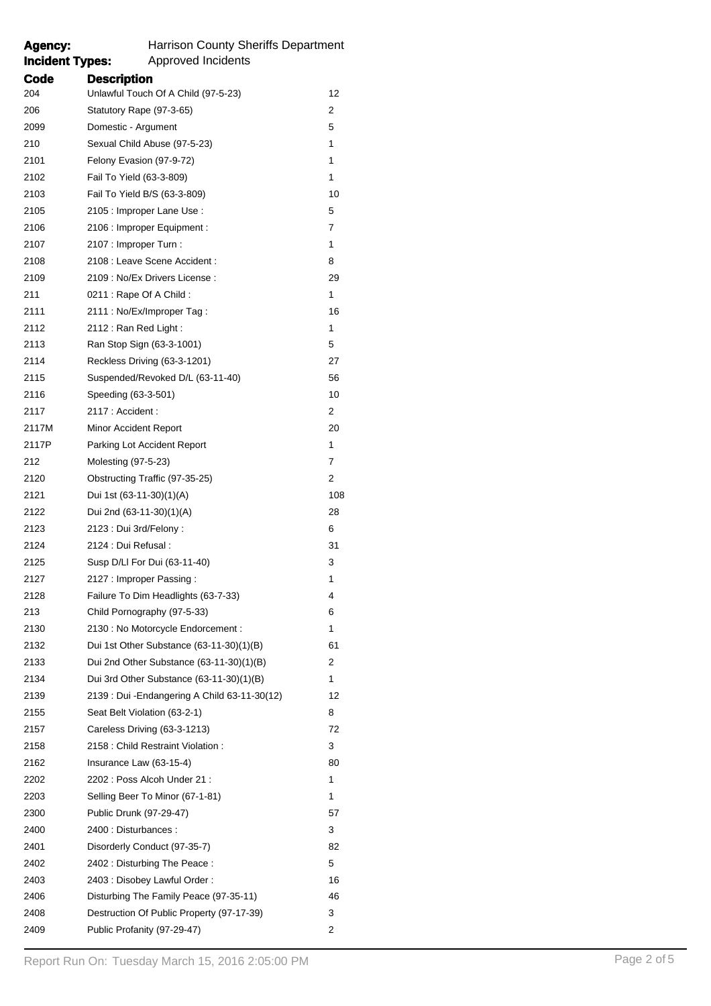| <b>Agency:</b><br><b>Incident Types:</b> | <b>Harrison County Sheriffs Department</b><br>Approved Incidents |     |
|------------------------------------------|------------------------------------------------------------------|-----|
| Code                                     | <b>Description</b>                                               |     |
| 204                                      | Unlawful Touch Of A Child (97-5-23)                              | 12  |
| 206                                      | Statutory Rape (97-3-65)                                         | 2   |
| 2099                                     | Domestic - Argument                                              | 5   |
| 210                                      | Sexual Child Abuse (97-5-23)                                     | 1   |
| 2101                                     | Felony Evasion (97-9-72)                                         | 1   |
| 2102                                     | Fail To Yield (63-3-809)                                         | 1   |
| 2103                                     | Fail To Yield B/S (63-3-809)                                     | 10  |
| 2105                                     | 2105 : Improper Lane Use :                                       | 5   |
| 2106                                     | 2106 : Improper Equipment :                                      | 7   |
| 2107                                     | 2107 : Improper Turn :                                           | 1   |
| 2108                                     | 2108 : Leave Scene Accident :                                    | 8   |
| 2109                                     | 2109 : No/Ex Drivers License :                                   | 29  |
| 211                                      | 0211 : Rape Of A Child :                                         | 1   |
| 2111                                     | 2111 : No/Ex/Improper Tag :                                      | 16  |
| 2112                                     | 2112: Ran Red Light:                                             | 1   |
| 2113                                     | Ran Stop Sign (63-3-1001)                                        | 5   |
| 2114                                     | Reckless Driving (63-3-1201)                                     | 27  |
| 2115                                     | Suspended/Revoked D/L (63-11-40)                                 | 56  |
| 2116                                     | Speeding (63-3-501)                                              | 10  |
| 2117                                     | 2117 : Accident :                                                | 2   |
| 2117M                                    | Minor Accident Report                                            | 20  |
| 2117P                                    | Parking Lot Accident Report                                      | 1   |
| 212                                      | Molesting (97-5-23)                                              | 7   |
| 2120                                     | Obstructing Traffic (97-35-25)                                   | 2   |
| 2121                                     | Dui 1st (63-11-30)(1)(A)                                         | 108 |
| 2122                                     | Dui 2nd (63-11-30)(1)(A)                                         | 28  |
| 2123                                     | 2123 : Dui 3rd/Felony :                                          | 6   |
| 2124                                     | 2124 : Dui Refusal :                                             | 31  |
| 2125                                     | Susp D/LI For Dui (63-11-40)                                     | 3   |
| 2127                                     | 2127 : Improper Passing :                                        | 1   |
| 2128                                     | Failure To Dim Headlights (63-7-33)                              | 4   |
| 213                                      | Child Pornography (97-5-33)                                      | 6   |
| 2130                                     | 2130 : No Motorcycle Endorcement :                               | 1   |
| 2132                                     | Dui 1st Other Substance $(63-11-30)(1)(B)$                       | 61  |
| 2133                                     | Dui 2nd Other Substance (63-11-30)(1)(B)                         | 2   |
| 2134                                     | Dui 3rd Other Substance (63-11-30)(1)(B)                         | 1   |
| 2139                                     | 2139 : Dui - Endangering A Child 63-11-30(12)                    | 12  |

 Seat Belt Violation (63-2-1) 8 Careless Driving (63-3-1213) 72 2158 : Child Restraint Violation : 3 2162 Insurance Law (63-15-4) 80 2202 2202 : Poss Alcoh Under 21 : 1 Selling Beer To Minor (67-1-81) 1 Public Drunk (97-29-47) 57 2400 : Disturbances : 3 Disorderly Conduct (97-35-7) 82 2402 2402 : Disturbing The Peace : 5 2403 2403 : Disobey Lawful Order : 16 Disturbing The Family Peace (97-35-11) 46 Destruction Of Public Property (97-17-39) 3 Public Profanity (97-29-47) 2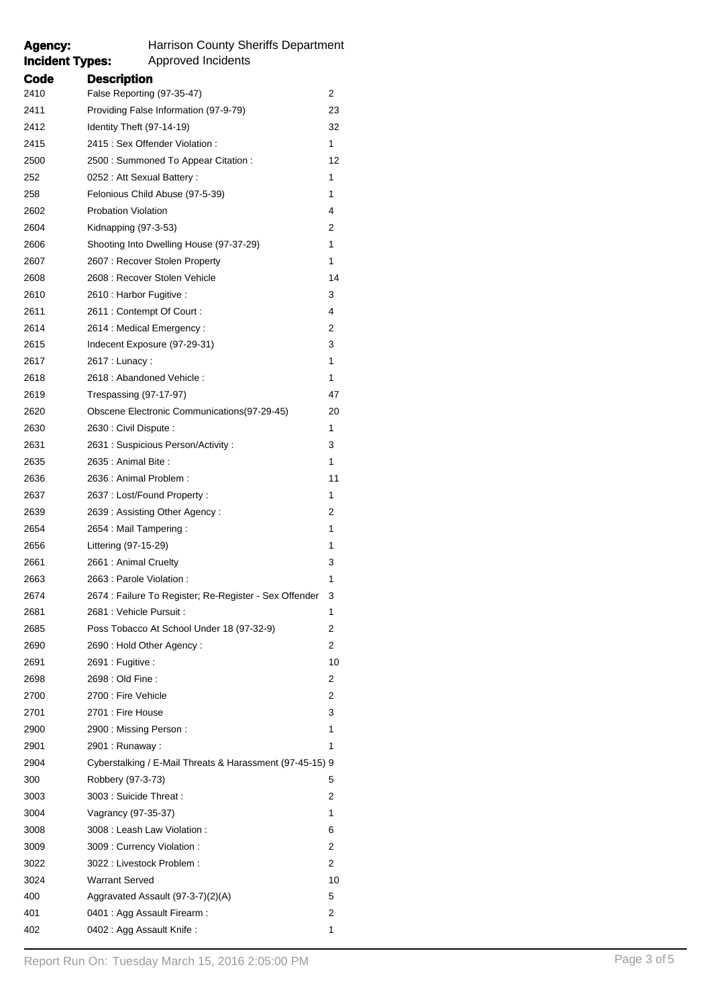## **Incident Types:** Approved Incidents **Code Description** False Reporting (97-35-47) 2 Providing False Information (97-9-79) 23 Identity Theft (97-14-19) 32 2415 : Sex Offender Violation : 1 2500 : Summoned To Appear Citation : 12 252 0252 : Att Sexual Battery : 1 Felonious Child Abuse (97-5-39) 1 Probation Violation 4 Kidnapping (97-3-53) 2 Shooting Into Dwelling House (97-37-29) 1 2607 : Recover Stolen Property 1 2608 : Recover Stolen Vehicle 14 2610 2610 : Harbor Fugitive : 3 2611 : Contempt Of Court : 4 2614 : Medical Emergency : 2 Indecent Exposure (97-29-31) 3 2617 : Lunacy : 1 2618 : Abandoned Vehicle : 1 Trespassing (97-17-97) 47 Obscene Electronic Communications(97-29-45) 20 2630 : Civil Dispute : 1 2631 : Suspicious Person/Activity : 3 2635 : Animal Bite : 1 2636 : Animal Problem : 11 2637 2637 : Lost/Found Property : 1 2639 : Assisting Other Agency : 2 2654 : Mail Tampering : 1 Littering (97-15-29) 1 2661 : Animal Cruelty 3 2663 : Parole Violation : 1 2674 : Failure To Register; Re-Register - Sex Offender 3 2681 : Vehicle Pursuit : 1 Poss Tobacco At School Under 18 (97-32-9) 2 2690 : Hold Other Agency : 2 2691 : Fugitive : 10 2698 : Old Fine : 2 2700 : Fire Vehicle 2 2701 2701 : Fire House 3 2900 : Missing Person : 1 2901 : Runaway : 1 Cyberstalking / E-Mail Threats & Harassment (97-45-15) 9 Robbery (97-3-73) 5 3003 : Suicide Threat : 2 Vagrancy (97-35-37) 1 3008 : Leash Law Violation : 6 3009 : Currency Violation : 2 3022 : Livestock Problem : 2 3024 Warrant Served 10 400 Aggravated Assault (97-3-7)(2)(A) 5 0401 : Agg Assault Firearm : 2 402 0402 : Agg Assault Knife : 1

**Agency:** Harrison County Sheriffs Department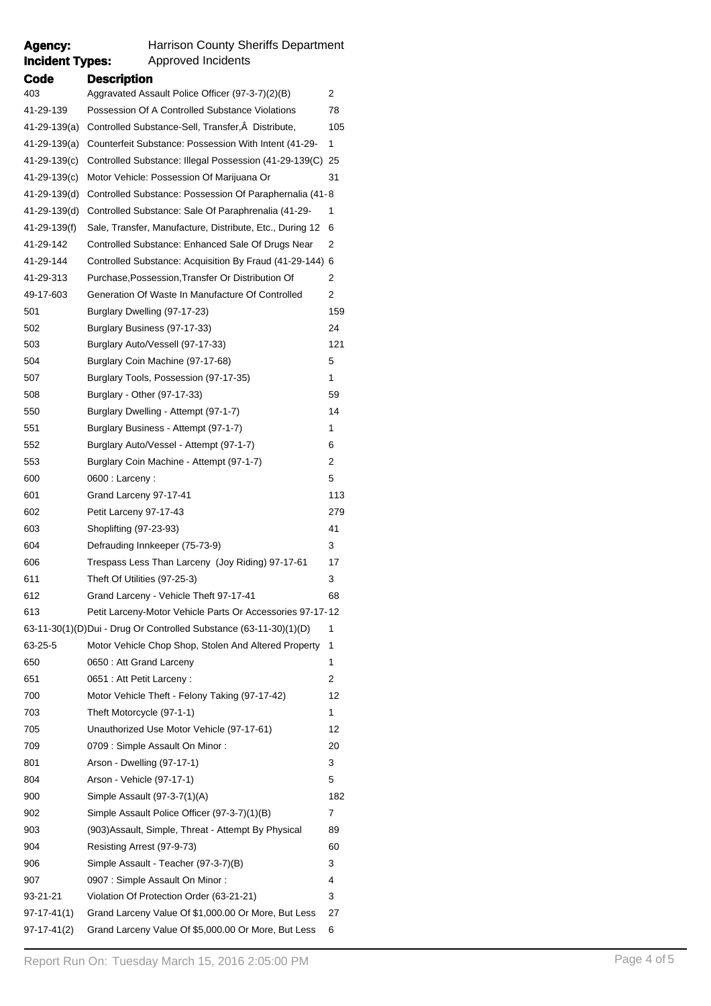| <b>Incident Types:</b> | Approved Incidents                                                |     |
|------------------------|-------------------------------------------------------------------|-----|
| Code                   | <b>Description</b>                                                |     |
| 403                    | Aggravated Assault Police Officer (97-3-7)(2)(B)                  | 2   |
| 41-29-139              | Possession Of A Controlled Substance Violations                   | 78  |
| 41-29-139(a)           | Controlled Substance-Sell, Transfer, Â Distribute,                | 105 |
| 41-29-139(a)           | Counterfeit Substance: Possession With Intent (41-29-             | 1   |
| 41-29-139(c)           | Controlled Substance: Illegal Possession (41-29-139(C) 25         |     |
| 41-29-139(c)           | Motor Vehicle: Possession Of Marijuana Or                         | 31  |
| 41-29-139(d)           | Controlled Substance: Possession Of Paraphernalia (41-8)          |     |
| 41-29-139(d)           | Controlled Substance: Sale Of Paraphrenalia (41-29-               | 1   |
| 41-29-139(f)           | Sale, Transfer, Manufacture, Distribute, Etc., During 12          | 6   |
| 41-29-142              | Controlled Substance: Enhanced Sale Of Drugs Near                 | 2   |
| 41-29-144              | Controlled Substance: Acquisition By Fraud (41-29-144)            | 6   |
| 41-29-313              | Purchase, Possession, Transfer Or Distribution Of                 | 2   |
| 49-17-603              | Generation Of Waste In Manufacture Of Controlled                  | 2   |
| 501                    | Burglary Dwelling (97-17-23)                                      | 159 |
| 502                    | Burglary Business (97-17-33)                                      | 24  |
| 503                    | Burglary Auto/Vessell (97-17-33)                                  | 121 |
| 504                    | Burglary Coin Machine (97-17-68)                                  | 5   |
| 507                    | Burglary Tools, Possession (97-17-35)                             | 1   |
| 508                    | Burglary - Other (97-17-33)                                       | 59  |
| 550                    | Burglary Dwelling - Attempt (97-1-7)                              | 14  |
| 551                    | Burglary Business - Attempt (97-1-7)                              | 1   |
| 552                    | Burglary Auto/Vessel - Attempt (97-1-7)                           | 6   |
| 553                    | Burglary Coin Machine - Attempt (97-1-7)                          | 2   |
| 600                    | $0600:$ Larceny:                                                  | 5   |
| 601                    | Grand Larceny 97-17-41                                            | 113 |
| 602                    | Petit Larceny 97-17-43                                            | 279 |
| 603                    | Shoplifting (97-23-93)                                            | 41  |
| 604                    | Defrauding Innkeeper (75-73-9)                                    | 3   |
| 606                    | Trespass Less Than Larceny (Joy Riding) 97-17-61                  | 17  |
| 611                    | Theft Of Utilities (97-25-3)                                      | 3   |
| 612                    | Grand Larceny - Vehicle Theft 97-17-41                            | 68  |
| 613                    | Petit Larceny-Motor Vehicle Parts Or Accessories 97-17-12         |     |
|                        | 63-11-30(1)(D)Dui - Drug Or Controlled Substance (63-11-30)(1)(D) | 1   |
| 63-25-5                | Motor Vehicle Chop Shop, Stolen And Altered Property              | 1   |
| 650                    | 0650: Att Grand Larceny                                           | 1   |
| 651                    | 0651 : Att Petit Larceny :                                        | 2   |
| 700                    | Motor Vehicle Theft - Felony Taking (97-17-42)                    | 12  |
| 703                    | Theft Motorcycle (97-1-1)                                         | 1   |
| 705                    | Unauthorized Use Motor Vehicle (97-17-61)                         | 12  |
| 709                    | 0709 : Simple Assault On Minor :                                  | 20  |
| 801                    | Arson - Dwelling (97-17-1)                                        | 3   |
| 804                    | Arson - Vehicle (97-17-1)                                         | 5   |
| 900                    | Simple Assault (97-3-7(1)(A)                                      | 182 |
| 902                    | Simple Assault Police Officer (97-3-7)(1)(B)                      | 7   |
| 903                    | (903) Assault, Simple, Threat - Attempt By Physical               | 89  |
| 904                    | Resisting Arrest (97-9-73)                                        | 60  |
| 906                    | Simple Assault - Teacher (97-3-7)(B)                              | 3   |
| 907                    | 0907 : Simple Assault On Minor :                                  | 4   |
| 93-21-21               | Violation Of Protection Order (63-21-21)                          | 3   |
| 97-17-41(1)            | Grand Larceny Value Of \$1,000.00 Or More, But Less               | 27  |
| 97-17-41(2)            | Grand Larceny Value Of \$5,000.00 Or More, But Less               | 6   |

**Agency:** Harrison County Sheriffs Department